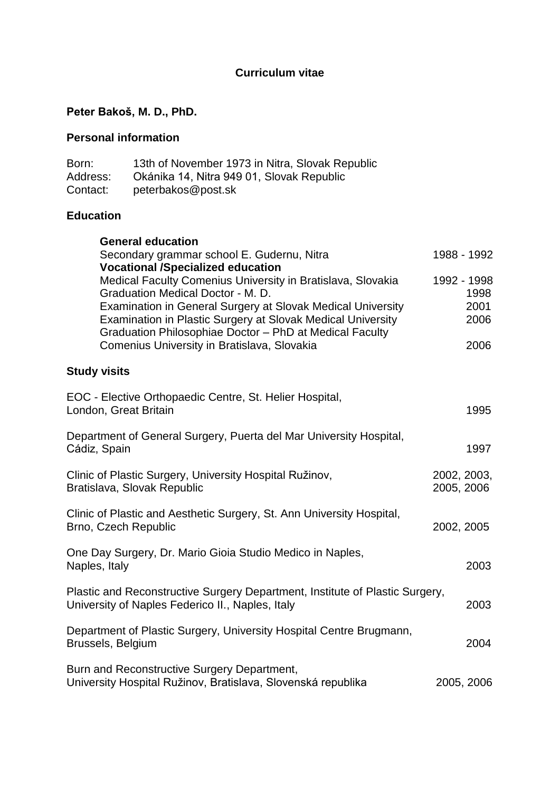## **Curriculum vitae**

# **Peter Bakoš, M. D., PhD.**

## **Personal information**

| Born:    | 13th of November 1973 in Nitra, Slovak Republic |
|----------|-------------------------------------------------|
| Address: | Okánika 14, Nitra 949 01, Slovak Republic       |
| Contact: | peterbakos@post.sk                              |

# **Education**

| <b>General education</b><br>Secondary grammar school E. Gudernu, Nitra<br><b>Vocational /Specialized education</b><br>Medical Faculty Comenius University in Bratislava, Slovakia<br>Graduation Medical Doctor - M. D.<br>Examination in General Surgery at Slovak Medical University<br>Examination in Plastic Surgery at Slovak Medical University<br>Graduation Philosophiae Doctor - PhD at Medical Faculty<br>Comenius University in Bratislava, Slovakia | 1988 - 1992<br>1992 - 1998<br>1998<br>2001<br>2006<br>2006 |
|----------------------------------------------------------------------------------------------------------------------------------------------------------------------------------------------------------------------------------------------------------------------------------------------------------------------------------------------------------------------------------------------------------------------------------------------------------------|------------------------------------------------------------|
| <b>Study visits</b>                                                                                                                                                                                                                                                                                                                                                                                                                                            |                                                            |
| EOC - Elective Orthopaedic Centre, St. Helier Hospital,<br>London, Great Britain                                                                                                                                                                                                                                                                                                                                                                               | 1995                                                       |
| Department of General Surgery, Puerta del Mar University Hospital,<br>Cádiz, Spain                                                                                                                                                                                                                                                                                                                                                                             | 1997                                                       |
| Clinic of Plastic Surgery, University Hospital Ružinov,<br>Bratislava, Slovak Republic                                                                                                                                                                                                                                                                                                                                                                         | 2002, 2003,<br>2005, 2006                                  |
| Clinic of Plastic and Aesthetic Surgery, St. Ann University Hospital,<br>Brno, Czech Republic                                                                                                                                                                                                                                                                                                                                                                  | 2002, 2005                                                 |
| One Day Surgery, Dr. Mario Gioia Studio Medico in Naples,<br>Naples, Italy                                                                                                                                                                                                                                                                                                                                                                                     | 2003                                                       |
| Plastic and Reconstructive Surgery Department, Institute of Plastic Surgery,<br>University of Naples Federico II., Naples, Italy                                                                                                                                                                                                                                                                                                                               | 2003                                                       |
| Department of Plastic Surgery, University Hospital Centre Brugmann,<br>Brussels, Belgium                                                                                                                                                                                                                                                                                                                                                                       | 2004                                                       |
| Burn and Reconstructive Surgery Department,<br>University Hospital Ružinov, Bratislava, Slovenská republika                                                                                                                                                                                                                                                                                                                                                    | 2005, 2006                                                 |